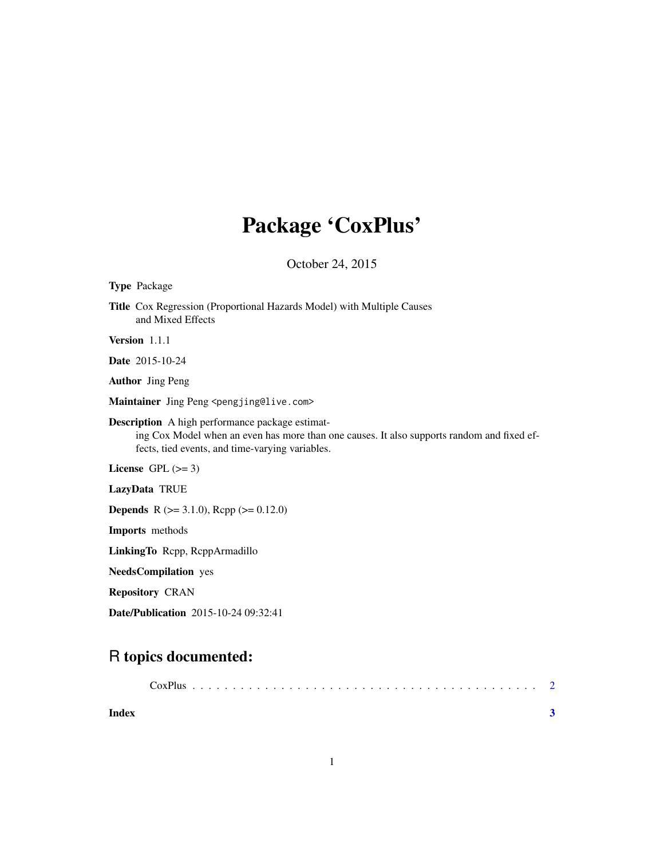## Package 'CoxPlus'

October 24, 2015

| <b>Type Package</b>                                                                                                                                                                                     |
|---------------------------------------------------------------------------------------------------------------------------------------------------------------------------------------------------------|
| Title Cox Regression (Proportional Hazards Model) with Multiple Causes<br>and Mixed Effects                                                                                                             |
| Version 1.1.1                                                                                                                                                                                           |
| <b>Date</b> 2015-10-24                                                                                                                                                                                  |
| <b>Author</b> Jing Peng                                                                                                                                                                                 |
| Maintainer Jing Peng <pengjing@live.com></pengjing@live.com>                                                                                                                                            |
| <b>Description</b> A high performance package estimat-<br>ing Cox Model when an even has more than one causes. It also supports random and fixed ef-<br>fects, tied events, and time-varying variables. |
| License GPL $(>= 3)$                                                                                                                                                                                    |
| LazyData TRUE                                                                                                                                                                                           |
| <b>Depends</b> R ( $>= 3.1.0$ ), Rcpp ( $>= 0.12.0$ )                                                                                                                                                   |
| Imports methods                                                                                                                                                                                         |
| LinkingTo Repp, ReppArmadillo                                                                                                                                                                           |
| <b>NeedsCompilation</b> yes                                                                                                                                                                             |
| <b>Repository CRAN</b>                                                                                                                                                                                  |
| <b>Date/Publication</b> 2015-10-24 09:32:41                                                                                                                                                             |
|                                                                                                                                                                                                         |

### R topics documented:

| Index |  |
|-------|--|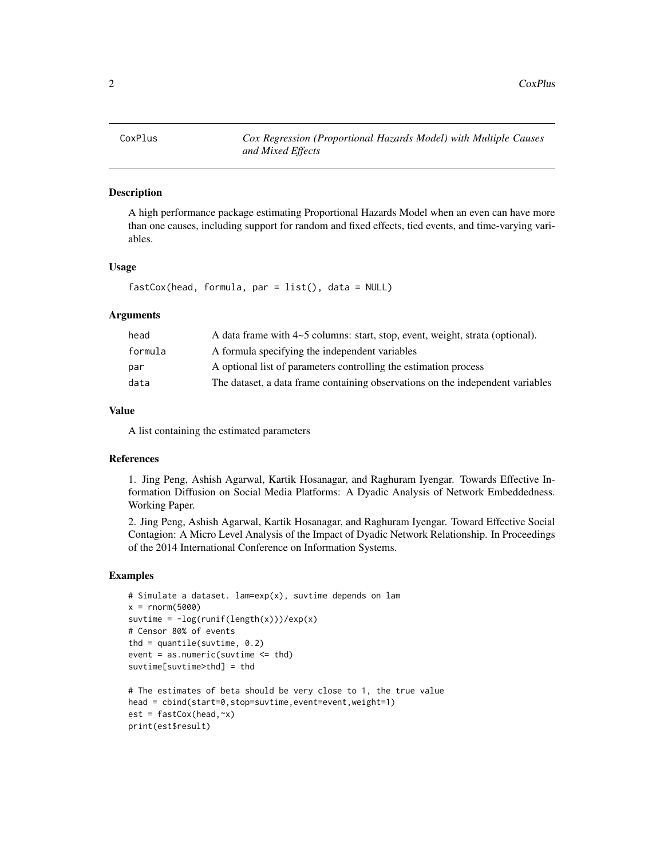<span id="page-1-0"></span>

#### Description

A high performance package estimating Proportional Hazards Model when an even can have more than one causes, including support for random and fixed effects, tied events, and time-varying variables.

#### Usage

```
fastCox(head, formula, par = list(), data = NULL)
```
#### Arguments

| head    | A data frame with 4~5 columns: start, stop, event, weight, strata (optional).  |
|---------|--------------------------------------------------------------------------------|
| formula | A formula specifying the independent variables                                 |
| par     | A optional list of parameters controlling the estimation process               |
| data    | The dataset, a data frame containing observations on the independent variables |

#### Value

A list containing the estimated parameters

#### References

1. Jing Peng, Ashish Agarwal, Kartik Hosanagar, and Raghuram Iyengar. Towards Effective Information Diffusion on Social Media Platforms: A Dyadic Analysis of Network Embeddedness. Working Paper.

2. Jing Peng, Ashish Agarwal, Kartik Hosanagar, and Raghuram Iyengar. Toward Effective Social Contagion: A Micro Level Analysis of the Impact of Dyadic Network Relationship. In Proceedings of the 2014 International Conference on Information Systems.

#### Examples

```
# Simulate a dataset. lam=exp(x), suvtime depends on lam
x = rnorm(5000)suvtime = -log(runif(length(x)))/exp(x)# Censor 80% of events
thd = quantile(suvtime, 0.2)event = as.numeric(suvtime \leq thd)suvtime[suvtime>thd] = thd
# The estimates of beta should be very close to 1, the true value
head = cbind(start=0,stop=suvtime,event=event,weight=1)
est = fastCox(head,~x)
```